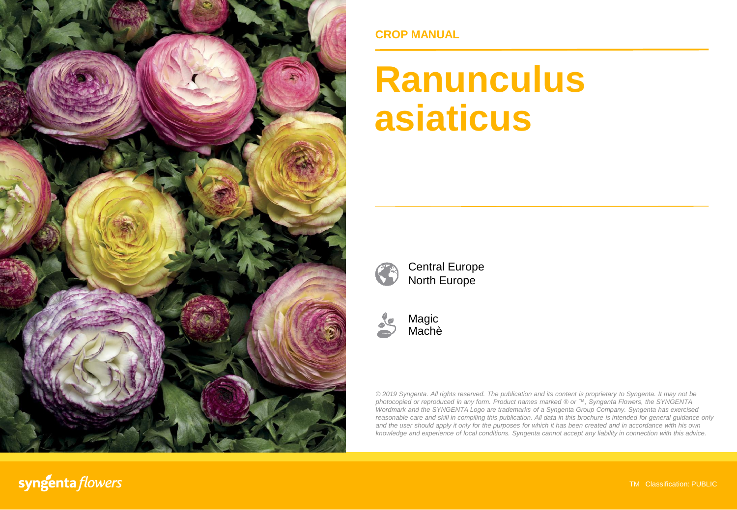

### **CROP MANUAL**

# **Ranunculus asiaticus**



Central Europe North Europe



Magic Machè

*© 2019 Syngenta. All rights reserved. The publication and its content is proprietary to Syngenta. It may not be photocopied or reproduced in any form. Product names marked ® or ™, Syngenta Flowers, the SYNGENTA Wordmark and the SYNGENTA Logo are trademarks of a Syngenta Group Company. Syngenta has exercised reasonable care and skill in compiling this publication. All data in this brochure is intended for general guidance only* and the user should apply it only for the purposes for which it has been created and in accordance with his own *knowledge and experience of local conditions. Syngenta cannot accept any liability in connection with this advice.*

syngenta flowers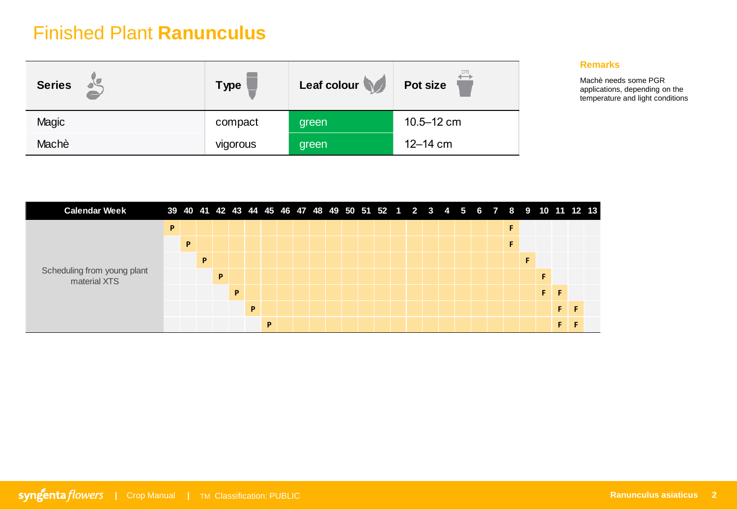| <b>Series</b> | <b>Type</b> | Leaf colour | cm<br>Pot size |
|---------------|-------------|-------------|----------------|
| Magic         | compact     | green       | $10.5 - 12$ cm |
| Machè         | vigorous    | green       | 12-14 cm       |

#### **Remarks**

Machè needs some PGR applications, depending on the temperature and light conditions

| <b>Calendar Week</b>                        |   |   |   |   |   |   |   |  |  |  | 39 40 41 42 43 44 45 46 47 48 49 50 51 52 1 2 3 4 5 6 7 8 9 10 11 12 13 |  |  |  |   |   |    |  |
|---------------------------------------------|---|---|---|---|---|---|---|--|--|--|-------------------------------------------------------------------------|--|--|--|---|---|----|--|
|                                             | P |   |   |   |   |   |   |  |  |  |                                                                         |  |  |  | F |   |    |  |
|                                             |   | P |   |   |   |   |   |  |  |  |                                                                         |  |  |  | F |   |    |  |
|                                             |   |   | P |   |   |   |   |  |  |  |                                                                         |  |  |  |   |   |    |  |
| Scheduling from young plant<br>material XTS |   |   |   | P |   |   |   |  |  |  |                                                                         |  |  |  |   |   |    |  |
|                                             |   |   |   |   | P |   |   |  |  |  |                                                                         |  |  |  |   | F | F  |  |
|                                             |   |   |   |   |   | D |   |  |  |  |                                                                         |  |  |  |   |   | F. |  |
|                                             |   |   |   |   |   |   | P |  |  |  |                                                                         |  |  |  |   |   | c. |  |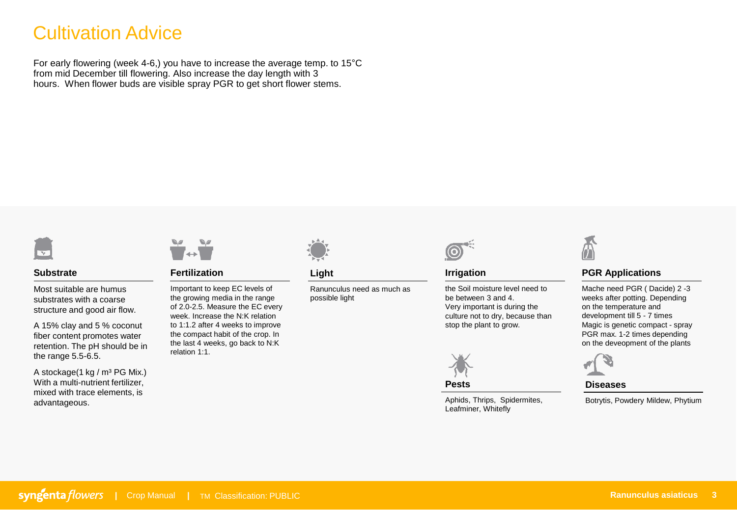## Cultivation Advice

For early flowering (week 4-6,) you have to increase the average temp. to 15°C from mid December till flowering. Also increase the day length with 3 hours. When flower buds are visible spray PGR to get short flower stems.



#### **Substrate**

Most suitable are humus substrates with a coarse structure and good air flow.

A 15% clay and 5 % coconut fiber content promotes water retention. The pH should be in the range 5.5-6.5.

A stockage(1 kg /  $m<sup>3</sup> PG Mix.$ ) With a multi-nutrient fertilizer. mixed with trace elements, is advantageous.



**Fertilization**

Important to keep EC levels of the growing media in the range of 2.0-2.5. Measure the EC every week. Increase the N:K relation to 1:1.2 after 4 weeks to improve the compact habit of the crop. In the last 4 weeks, go back to N:K relation 1:1.



#### **Light**

Ranunculus need as much as possible light



#### **Irrigation**

the Soil moisture level need to be between 3 and 4. Very important is during the culture not to dry, because than stop the plant to grow.



**Pests**

Aphids, Thrips, Spidermites, Leafminer, Whitefly



#### **PGR Applications**

Mache need PGR ( Dacide) 2 -3 weeks after potting. Depending on the temperature and development till 5 - 7 times Magic is genetic compact - spray PGR max. 1-2 times depending on the deveopment of the plants



#### **Diseases**

Botrytis, Powdery Mildew, Phytium